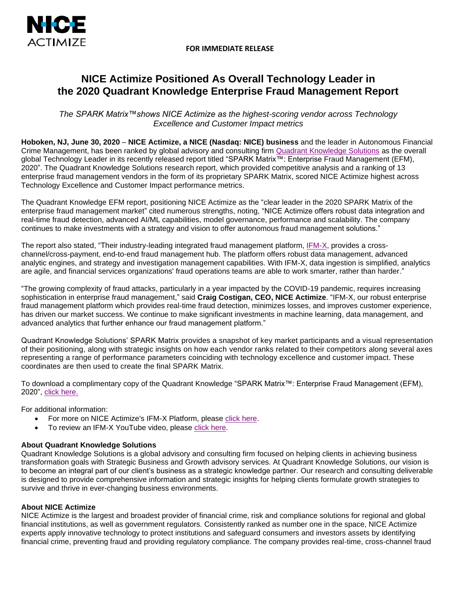



# **NICE Actimize Positioned As Overall Technology Leader in the 2020 Quadrant Knowledge Enterprise Fraud Management Report**

*The SPARK Matrix™shows NICE Actimize as the highest-scoring vendor across Technology Excellence and Customer Impact metrics*

**Hoboken, NJ, June 30, 2020** – **NICE Actimize, a NICE (Nasdaq: NICE) business** and the leader in Autonomous Financial Crime Management, has been ranked by global advisory and consulting firm [Quadrant Knowledge Solutions](https://quadrant-solutions.com/market-research/spark-matrix-enterprise-fraud-management-efm-2020/) as the overall global Technology Leader in its recently released report titled "SPARK Matrix™: Enterprise Fraud Management (EFM), 2020". The Quadrant Knowledge Solutions research report, which provided competitive analysis and a ranking of 13 enterprise fraud management vendors in the form of its proprietary SPARK Matrix, scored NICE Actimize highest across Technology Excellence and Customer Impact performance metrics.

The Quadrant Knowledge EFM report, positioning NICE Actimize as the "clear leader in the 2020 SPARK Matrix of the enterprise fraud management market" cited numerous strengths, noting, "NICE Actimize offers robust data integration and real-time fraud detection, advanced AI/ML capabilities, model governance, performance and scalability. The company continues to make investments with a strategy and vision to offer autonomous fraud management solutions."

The report also stated, "Their industry-leading integrated fraud management platform, [IFM-X,](https://info.nice.com/integrated-fraud-management#utm_source=website&utm_medium=PR&utm_campaign=IFM-X) provides a crosschannel/cross-payment, end-to-end fraud management hub. The platform offers robust data management, advanced analytic engines, and strategy and investigation management capabilities. With IFM-X, data ingestion is simplified, analytics are agile, and financial services organizations' fraud operations teams are able to work smarter, rather than harder."

"The growing complexity of fraud attacks, particularly in a year impacted by the COVID-19 pandemic, requires increasing sophistication in enterprise fraud management," said **Craig Costigan, CEO, NICE Actimize**. "IFM-X, our robust enterprise fraud management platform which provides real-time fraud detection, minimizes losses, and improves customer experience, has driven our market success. We continue to make significant investments in machine learning, data management, and advanced analytics that further enhance our fraud management platform."

Quadrant Knowledge Solutions' SPARK Matrix provides a snapshot of key market participants and a visual representation of their positioning, along with strategic insights on how each vendor ranks related to their competitors along several axes representing a range of performance parameters coinciding with technology excellence and customer impact. These coordinates are then used to create the final SPARK Matrix.

To download a complimentary copy of the Quadrant Knowledge "SPARK Matrix™: Enterprise Fraud Management (EFM), 2020", [click here.](https://info.nice.com/FR_ContentLP_Quadrant_Knowledge_Report.html)

For additional information:

- For more on NICE Actimize's IFM-X Platform, please [click here.](https://info.nice.com/integrated-fraud-management#utm_source=website&utm_medium=PR&utm_campaign=IFM-X)
- To review an IFM-X YouTube video, please [click here.](https://www.youtube.com/watch?v=_WuJO3O6egE&feature=youtu.be#utm_source=website&utm_medium=PR&utm_campaign=IFM-X)

## **About Quadrant Knowledge Solutions**

Quadrant Knowledge Solutions is a global advisory and consulting firm focused on helping clients in achieving business transformation goals with Strategic Business and Growth advisory services. At Quadrant Knowledge Solutions, our vision is to become an integral part of our client's business as a strategic knowledge partner. Our research and consulting deliverable is designed to provide comprehensive information and strategic insights for helping clients formulate growth strategies to survive and thrive in ever-changing business environments.

## **About NICE Actimize**

NICE Actimize is the largest and broadest provider of financial crime, risk and compliance solutions for regional and global financial institutions, as well as government regulators. Consistently ranked as number one in the space, NICE Actimize experts apply innovative technology to protect institutions and safeguard consumers and investors assets by identifying financial crime, preventing fraud and providing regulatory compliance. The company provides real-time, cross-channel fraud